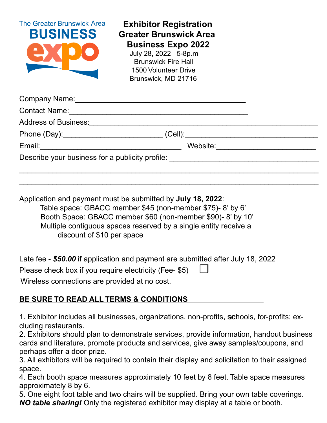| <b>The Greater Brunswick Area</b><br><b>BUSINESS</b> | <b>Exhibitor Registration</b><br><b>Greater Brunswick Area</b><br><b>Business Expo 2022</b><br>July 28, 2022 5-8p.m<br><b>Brunswick Fire Hall</b><br><b>1500 Volunteer Drive</b><br>Brunswick, MD 21716 |                                                                                                                       |
|------------------------------------------------------|---------------------------------------------------------------------------------------------------------------------------------------------------------------------------------------------------------|-----------------------------------------------------------------------------------------------------------------------|
|                                                      |                                                                                                                                                                                                         |                                                                                                                       |
|                                                      |                                                                                                                                                                                                         |                                                                                                                       |
| <b>Address of Business:</b>                          |                                                                                                                                                                                                         |                                                                                                                       |
|                                                      | $(Cell)$ :                                                                                                                                                                                              | <u> 1989 - Johann Harry Harry Harry Harry Harry Harry Harry Harry Harry Harry Harry Harry Harry Harry Harry Harry</u> |
| Email:                                               | Website:                                                                                                                                                                                                |                                                                                                                       |
| Describe your business for a publicity profile:      |                                                                                                                                                                                                         |                                                                                                                       |

 $\_$  , and the set of the set of the set of the set of the set of the set of the set of the set of the set of the set of the set of the set of the set of the set of the set of the set of the set of the set of the set of th

Application and payment must be submitted by **July 18, 2022**: Table space: GBACC member \$45 (non-member \$75)- 8' by 6' Booth Space: GBACC member \$60 (non-member \$90)- 8' by 10' Multiple contiguous spaces reserved by a single entity receive a discount of \$10 per space

Late fee - *\$50.00* if application and payment are submitted after July 18, 2022

Please check box if you require electricity (Fee- \$5)

Wireless connections are provided at no cost.

## **BE SURE TO READ ALL TERMS & CONDITIONS**

1. Exhibitor includes all businesses, organizations, non-profits, schools, for-profits; excluding restaurants.

2. Exhibitors should plan to demonstrate services, provide information, handout business cards and literature, promote products and services, give away samples/coupons, and perhaps offer a door prize.

3. All exhibitors will be required to contain their display and solicitation to their assigned space.

4. Each booth space measures approximately 10 feet by 8 feet. Table space measures approximately 8 by 6.

5. One eight foot table and two chairs will be supplied. Bring your own table coverings. *NO table sharing!* Only the registered exhibitor may display at a table or booth.